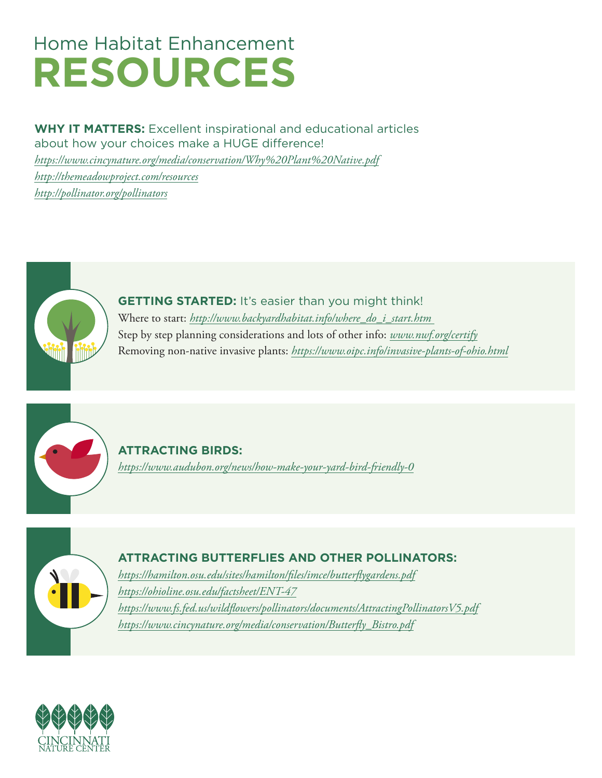# Home Habitat Enhancement  **RESOURCES**

# **WHY IT MATTERS:** Excellent inspirational and educational articles

about how your choices make a HUGE difference!

*<https://www.cincynature.org/media/conservation/Why%20Plant%20Native.pdf>*

*[http://themeadowproject.com/resources](http://themeadowproject.com/resources/)*

*<http://pollinator.org/pollinators>*



**GETTING STARTED:** It's easier than you might think! Where to start: *[http://www.backyardhabitat.info/where\\_do\\_i\\_start.htm](http://www.backyardhabitat.info/where_do_i_start.htm)*  Step by step planning considerations and lots of other info: *[www.nwf.org/certify](http://www.nwf.org/certify)* Removing non-native invasive plants: *<https://www.oipc.info/invasive-plants-of-ohio.html>*



**ATTRACTING BIRDS:**  *<https://www.audubon.org/news/how-make-your-yard-bird-friendly-0>*



# **ATTRACTING BUTTERFLIES AND OTHER POLLINATORS:**

*<https://hamilton.osu.edu/sites/hamilton/files/imce/butterflygardens.pdf> <https://ohioline.osu.edu/factsheet/ENT-47> <https://www.fs.fed.us/wildflowers/pollinators/documents/AttractingPollinatorsV5.pdf> [https://www.cincynature.org/media/conservation/Butterfly\\_Bistro.pdf](https://www.cincynature.org/media/conservation/Butterfly_Bistro.pdf)*